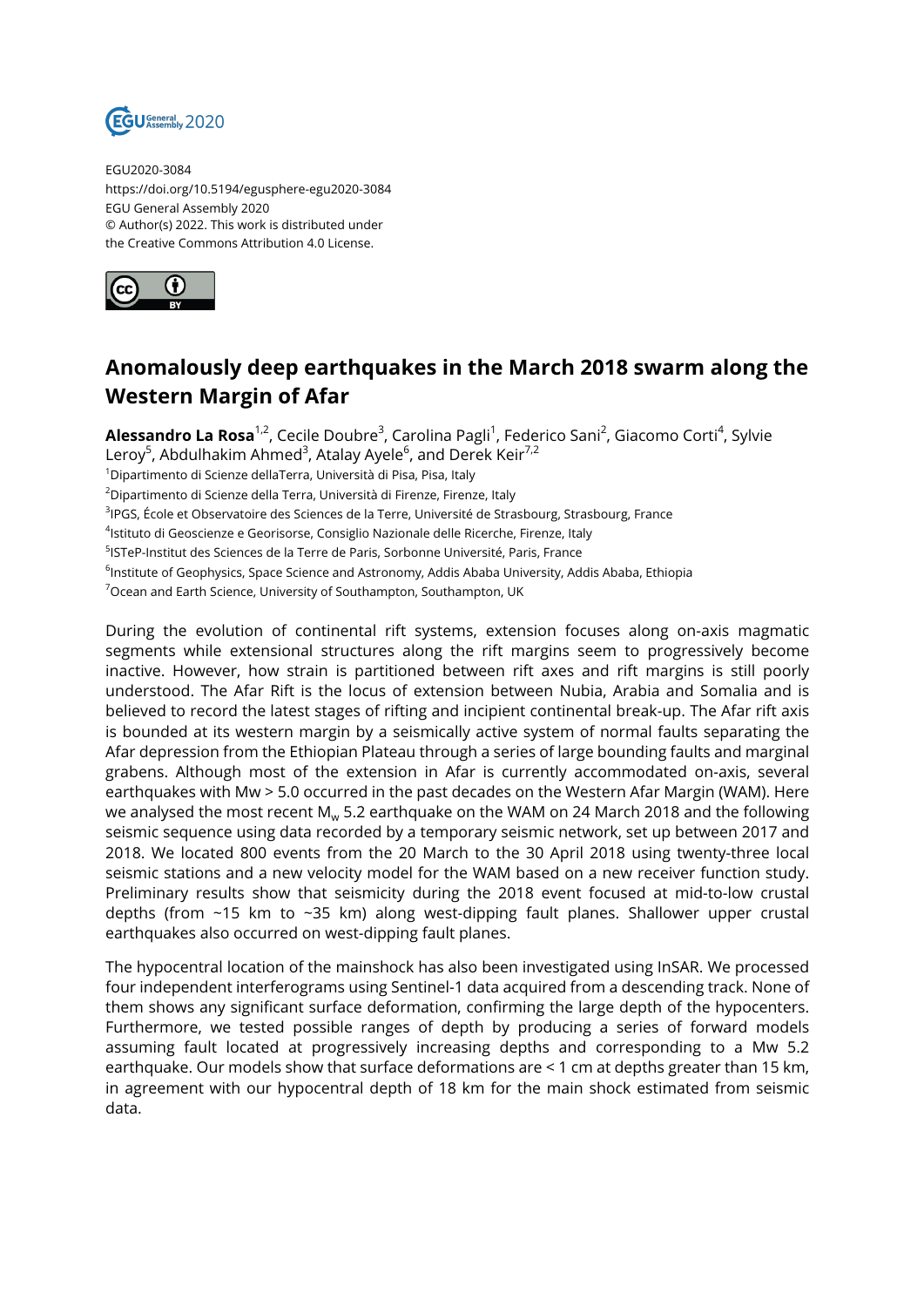

EGU2020-3084 https://doi.org/10.5194/egusphere-egu2020-3084 EGU General Assembly 2020 © Author(s) 2022. This work is distributed under the Creative Commons Attribution 4.0 License.



## **Anomalously deep earthquakes in the March 2018 swarm along the Western Margin of Afar**

**Alessandro La Rosa**<sup>1,2</sup>, Cecile Doubre<sup>3</sup>, Carolina Pagli<sup>1</sup>, Federico Sani<sup>2</sup>, Giacomo Corti<sup>4</sup>, Sylvie Leroy<sup>5</sup>, Abdulhakim Ahmed<sup>3</sup>, Atalay Ayele<sup>6</sup>, and Derek Keir<sup>7,2</sup> <sup>1</sup>Dipartimento di Scienze dellaTerra, Università di Pisa, Pisa, Italy <sup>2</sup>Dipartimento di Scienze della Terra, Università di Firenze, Firenze, Italy <sup>3</sup>lPGS, École et Observatoire des Sciences de la Terre, Université de Strasbourg, Strasbourg, France

<sup>4</sup>lstituto di Geoscienze e Georisorse, Consiglio Nazionale delle Ricerche, Firenze, Italy

5 ISTeP-Institut des Sciences de la Terre de Paris, Sorbonne Université, Paris, France

<sup>6</sup>lnstitute of Geophysics, Space Science and Astronomy, Addis Ababa University, Addis Ababa, Ethiopia

<sup>7</sup> Ocean and Earth Science, University of Southampton, Southampton, UK

During the evolution of continental rift systems, extension focuses along on-axis magmatic segments while extensional structures along the rift margins seem to progressively become inactive. However, how strain is partitioned between rift axes and rift margins is still poorly understood. The Afar Rift is the locus of extension between Nubia, Arabia and Somalia and is believed to record the latest stages of rifting and incipient continental break-up. The Afar rift axis is bounded at its western margin by a seismically active system of normal faults separating the Afar depression from the Ethiopian Plateau through a series of large bounding faults and marginal grabens. Although most of the extension in Afar is currently accommodated on-axis, several earthquakes with Mw > 5.0 occurred in the past decades on the Western Afar Margin (WAM). Here we analysed the most recent M<sub>w</sub> 5.2 earthquake on the WAM on 24 March 2018 and the following seismic sequence using data recorded by a temporary seismic network, set up between 2017 and 2018. We located 800 events from the 20 March to the 30 April 2018 using twenty-three local seismic stations and a new velocity model for the WAM based on a new receiver function study. Preliminary results show that seismicity during the 2018 event focused at mid-to-low crustal depths (from ~15 km to ~35 km) along west-dipping fault planes. Shallower upper crustal earthquakes also occurred on west-dipping fault planes.

The hypocentral location of the mainshock has also been investigated using InSAR. We processed four independent interferograms using Sentinel-1 data acquired from a descending track. None of them shows any significant surface deformation, confirming the large depth of the hypocenters. Furthermore, we tested possible ranges of depth by producing a series of forward models assuming fault located at progressively increasing depths and corresponding to a Mw 5.2 earthquake. Our models show that surface deformations are < 1 cm at depths greater than 15 km, in agreement with our hypocentral depth of 18 km for the main shock estimated from seismic data.